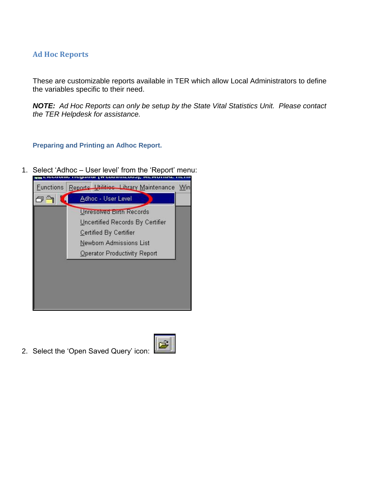## **Ad Hoc Reports**

These are customizable reports available in TER which allow Local Administrators to define the variables specific to their need.

*NOTE: Ad Hoc Reports can only be setup by the State Vital Statistics Unit. Please contact the TER Helpdesk for assistance.* 

**Preparing and Printing an Adhoc Report.**

1. Select 'Adhoc – User level' from the 'Report' menu:



2. Select the "Open Saved Query" icon:

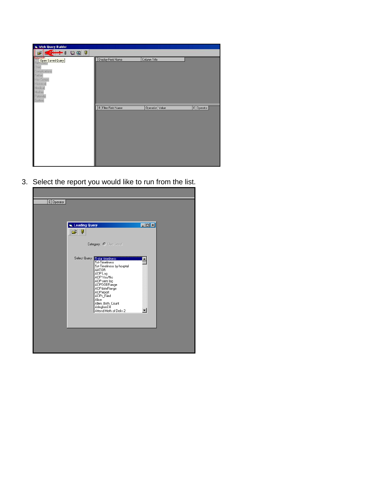| <b>Web Query Builder</b>                                                                                                                        |                     |                 |            |
|-------------------------------------------------------------------------------------------------------------------------------------------------|---------------------|-----------------|------------|
| $\boldsymbol{\varphi}$<br>$ 0 \circledast$<br>ぱ                                                                                                 |                     |                 |            |
| <b>Birth Coop</b> Saved Query<br>Child<br>Complications<br>Father<br><b>Hist Comps</b><br>Historical<br>Medical<br>Mother<br>Patemity<br>System | Display Field Name  | Column Title    |            |
|                                                                                                                                                 | B Filter Field Name | Operation Value | E Operator |

3. Select the report you would like to run from the list.

| E Operator | <b>is, Loading Query</b><br>Ø<br>Ê                                                                                                                                                                                                                                | $\Box$ D $\times$ |
|------------|-------------------------------------------------------------------------------------------------------------------------------------------------------------------------------------------------------------------------------------------------------------------|-------------------|
|            | Category: @ User Level                                                                                                                                                                                                                                            |                   |
|            | Select Query: 5-star timeliness<br>5st-Timeliness<br>5st-Timeliness by hosptal<br>AATOR<br>AOP Log<br>AOP Yes/No<br>AOP-sent log<br>AOPDOBRange<br>AOPdateRange<br>AOPreport<br>AOPs Filed<br>Alice<br>Allen_Birth_Count<br>ArlingtonEH<br>Attend Meth of Deliv 2 |                   |
|            |                                                                                                                                                                                                                                                                   |                   |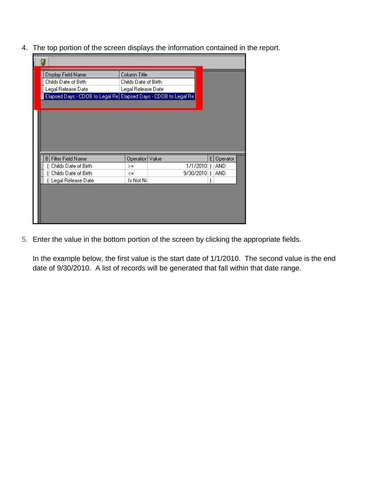4. The top portion of the screen displays the information contained in the report.

| П                                                               |                      |           |    |          |  |
|-----------------------------------------------------------------|----------------------|-----------|----|----------|--|
| Display Field Name                                              | Column Title         |           |    |          |  |
| Childs Date of Birth.                                           | Childs Date of Birth |           |    |          |  |
| Legal Release Date                                              | Legal Release Date   |           |    |          |  |
| Elapsed Days - CDOB to Legal Re Elapsed Days - CDOB to Legal Re |                      |           |    |          |  |
|                                                                 |                      |           |    |          |  |
| <b>Filter Field Name</b><br>в                                   | <b>Operation</b>     | Value     | E. | Operator |  |
| Childs Date of Birth                                            | $>=$                 | 1/1/2010  |    | AND      |  |
| Childs Date of Birth                                            | $\leq$               | 9/30/2010 |    | AND      |  |
| (Legal Release Date                                             | Is Not Ni            |           |    |          |  |
|                                                                 |                      |           |    |          |  |

5. Enter the value in the bottom portion of the screen by clicking the appropriate fields.

In the example below, the first value is the start date of 1/1/2010. The second value is the end date of 9/30/2010. A list of records will be generated that fall within that date range.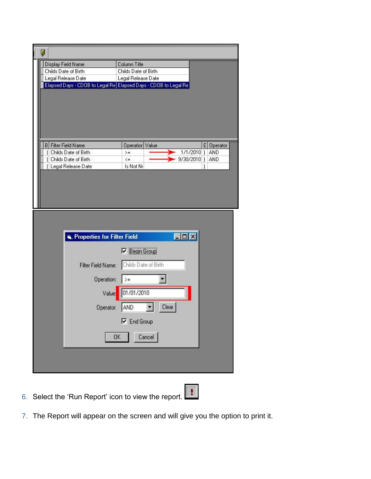| Ø                          |                                                                                        |                                                                                                                                                                           |
|----------------------------|----------------------------------------------------------------------------------------|---------------------------------------------------------------------------------------------------------------------------------------------------------------------------|
| Display Field Name         |                                                                                        | Column Title                                                                                                                                                              |
| Childs Date of Birth.      |                                                                                        | Childs Date of Birth                                                                                                                                                      |
| Legal Release Date         |                                                                                        | Legal Release Date                                                                                                                                                        |
|                            |                                                                                        | Elapsed Days - CDOB to Legal Re Elapsed Days - CDOB to Legal Re                                                                                                           |
|                            |                                                                                        |                                                                                                                                                                           |
| <b>B</b> Filter Field Name |                                                                                        | E Operator<br>Operation Value                                                                                                                                             |
| Childs Date of Birth       |                                                                                        | 1/1/2010]<br>AND<br>$>=$                                                                                                                                                  |
| Childs Date of Birth       |                                                                                        | 9/30/2010)<br>AND<br>$\leq$                                                                                                                                               |
| (Legal Release Date        |                                                                                        | Is Not Ni                                                                                                                                                                 |
|                            |                                                                                        |                                                                                                                                                                           |
|                            | Properties for Filter Field<br>Filter Field Name:<br>Operation:<br>Value:<br>Operator: | $\blacksquare$ $\blacksquare$ $\times$<br>$\nabla$ Begin Group<br>Childs Date of Birth<br>$\rangle =$<br>01/01/2010<br>AND<br>Clear<br>$\nabla$ End Group<br>Cancel<br>OK |

- 6. Select the 'Run Report' icon to view the report.
	-
- 7. The Report will appear on the screen and will give you the option to print it.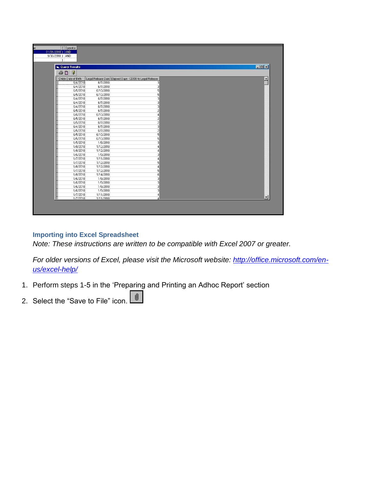| 01/01/2010   AND<br>9/30/2010   AND |                                                         |       |
|-------------------------------------|---------------------------------------------------------|-------|
| <b>G.</b> Query Results             |                                                         | $  x$ |
| $\sqrt{2}$<br>马口                    |                                                         |       |
| Childs Date of Birth                | Legal Release Date Elapsed Days - CDOB to Legal Release |       |
| 6/4/2010<br>6/7/2010                | 3                                                       |       |
| 6/7/2010<br>6/4/2010                | 3                                                       |       |
| 6/5/2010<br>6/10/2010               |                                                         |       |
| 6/5/2010<br>6/10/2010               |                                                         |       |
| 6/4/2010<br>6/7/2010                |                                                         |       |
| 6/4/2010<br>6/7/2010                |                                                         |       |
| 6/4/2010<br>6/7/2010                |                                                         |       |
| 6/5/2010<br>6/7/2010                |                                                         |       |
| 6/6/2010<br>6/10/2010               |                                                         |       |
| 6/5/2010<br>6/7/2010                |                                                         |       |
| 6/5/2010<br>6/7/2010                |                                                         |       |
| 6/4/2010<br>6/7/2010                |                                                         |       |
| 6/5/2010<br>6/7/2010                |                                                         |       |
| 6/5/2010<br>6/10/2010               |                                                         |       |
| 6/5/2010<br>6/10/2010               |                                                         |       |
| 1/5/2010<br>1/8/2010                |                                                         |       |
| 1/8/2010<br>1/12/2010               |                                                         |       |
| 1/8/2010<br>1/12/2010               |                                                         |       |
| 1/6/2010<br>1/9/2010                |                                                         |       |
| 1/7/2010<br>1/11/2010               |                                                         |       |
| 1/7/2010<br>1/12/2010               |                                                         |       |
| 1/8/2010<br>1/12/2010               |                                                         |       |
| 1/7/2010<br>1/12/2010               |                                                         |       |
| 1/8/2010<br>1/14/2010               |                                                         |       |
| 1/6/2010<br>1/9/2010                |                                                         |       |
| 1/6/2010<br>1/9/2010                |                                                         |       |
| 1/6/2010<br>1/9/2010                |                                                         |       |
| 1/9/2010<br>1/6/2010                |                                                         |       |
| 1/11/2010<br>1/7/2010               | $\Delta$                                                |       |
| 1/7/2010<br>1/11/2010               | A                                                       |       |
|                                     |                                                         |       |

## **Importing into Excel Spreadsheet**

*Note: These instructions are written to be compatible with Excel 2007 or greater.* 

*For older versions of Excel, please visit the Microsoft website: [http://office.microsoft.com/en](http://office.microsoft.com/en-us/excel-help/)[us/excel-help/](http://office.microsoft.com/en-us/excel-help/)*

- 1. Perform steps 1-5 in the "Preparing and Printing an Adhoc Report" section
- 2. Select the "Save to File" icon.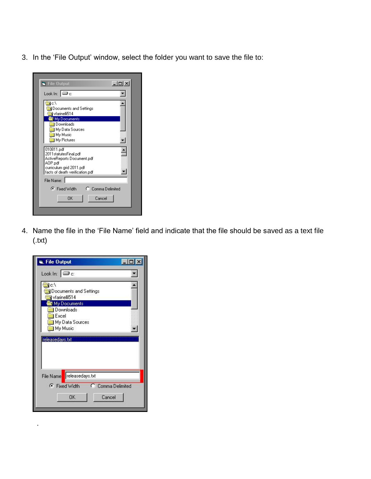3. In the "File Output" window, select the folder you want to save the file to:

| $ \Box$ $\times$<br><b>File Output</b>                                                                                                      |
|---------------------------------------------------------------------------------------------------------------------------------------------|
| Look In:  ⊟ c:                                                                                                                              |
| ¶c:\<br>Documents and Settings<br>V vfarinelli514<br>My Documents                                                                           |
| Downloads<br>My Data Sources<br>] My Music<br>My Pictures                                                                                   |
| 010811.pdf<br>2011statutesFinal.pdf<br>ActiveReports Document.pdf<br>AOP.pdf<br>curriculum grid 2011.pdf<br>facts of death verification.pdf |
| File Name:                                                                                                                                  |
| C Comma Delimited<br>় Fixed Width ।                                                                                                        |
| <b>DK</b><br>Cancel                                                                                                                         |
|                                                                                                                                             |

4. Name the file in the "File Name" field and indicate that the file should be saved as a text file (.txt)

| <b>G.</b> File Output                                                                     |  |
|-------------------------------------------------------------------------------------------|--|
| Look In: $\boxed{\bigoplus$ c:                                                            |  |
| ¶c∖<br><b>Documents and Settings</b><br>Vrarinelli514<br>My Documents<br><b>Downloads</b> |  |
| <b>I</b> Excel<br>My Data Sources<br>I My Music                                           |  |
| releasedays.txt                                                                           |  |
| File Name   releasedays.txt                                                               |  |
| C Comma Delimited<br>← Fixed Width<br><b>OK</b><br>Cancel                                 |  |

.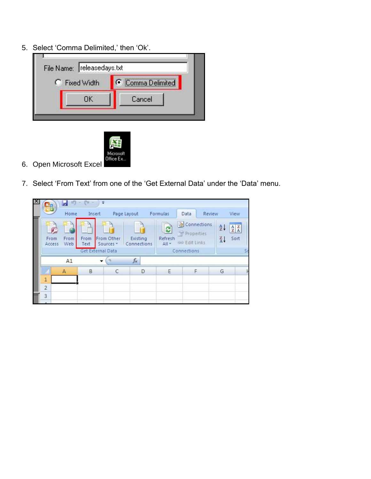5. Select 'Comma Delimited,' then 'Ok'.





- 6. Open Microsoft Excel
- 7. Select "From Text" from one of the "Get External Data" under the "Data" menu.

| HB.            | Home         | Insert                                       |                                    | Page Layout             | Formulas                             | Data                                                             | Review | View                                                                                           |  |
|----------------|--------------|----------------------------------------------|------------------------------------|-------------------------|--------------------------------------|------------------------------------------------------------------|--------|------------------------------------------------------------------------------------------------|--|
| From<br>Access | From<br>Web  | confire<br>From<br>Text<br>Get External Data | From Other<br>Sources <sup>*</sup> | Existing<br>Connections | e <sub>2</sub><br>Refresh<br>$All -$ | Connections<br>Properties<br><b>Ba Edit Links</b><br>Connections |        | $rac{A}{Z}$<br>$\begin{array}{c c} A & Z \\ \hline Z & A \end{array}$<br>$\frac{Z}{A}$<br>Sort |  |
|                | A1           | ٠                                            |                                    | $f_x$                   |                                      |                                                                  |        |                                                                                                |  |
|                | $\mathsf{A}$ | B                                            | C                                  | D                       | E                                    | F                                                                |        | G                                                                                              |  |
| 1              |              |                                              |                                    |                         |                                      |                                                                  |        |                                                                                                |  |
| $\overline{2}$ |              |                                              |                                    |                         |                                      |                                                                  |        |                                                                                                |  |
| $\overline{3}$ |              |                                              |                                    |                         |                                      |                                                                  |        |                                                                                                |  |
|                |              |                                              |                                    |                         |                                      |                                                                  |        |                                                                                                |  |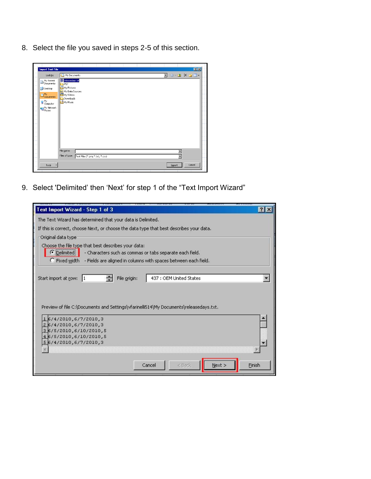8. Select the file you saved in steps 2-5 of this section.

| $\overline{\phantom{0}}$ | $\overline{\phantom{a}}$ |
|--------------------------|--------------------------|
|                          |                          |

9. Select 'Delimited" then "Next" for step 1 of the "Text Import Wizard"

| Text Import Wizard - Step 1 of 3                                                        |        |                                                            |      |        | п. |
|-----------------------------------------------------------------------------------------|--------|------------------------------------------------------------|------|--------|----|
| The Text Wizard has determined that your data is Delimited.                             |        |                                                            |      |        |    |
| If this is correct, choose Next, or choose the data type that best describes your data. |        |                                                            |      |        |    |
| Original data type                                                                      |        |                                                            |      |        |    |
| Choose the file type that best describes your data:                                     |        |                                                            |      |        |    |
| ● Delimited<br>- Characters such as commas or tabs separate each field.                 |        |                                                            |      |        |    |
| C Fixed width - Fields are aligned in columns with spaces between each field.           |        |                                                            |      |        |    |
|                                                                                         |        |                                                            |      |        |    |
| Start import at row:<br>File origin:<br>11                                              |        | 437 : OEM United States                                    |      |        |    |
|                                                                                         |        |                                                            |      |        |    |
|                                                                                         |        |                                                            |      |        |    |
|                                                                                         |        |                                                            |      |        |    |
| Preview of file C:\Documents and Settings\vfarinelli514\My Documents\releasedays.txt.   |        |                                                            |      |        |    |
| 16/4/2010,6/7/2010,3                                                                    |        |                                                            |      |        |    |
| 26/4/2010.6/7/2010.3                                                                    |        |                                                            |      |        |    |
| 36/5/2010,6/10/2010,5                                                                   |        |                                                            |      |        |    |
| 46/5/2010,6/10/2010,5<br>56/4/2010,6/7/2010,3                                           |        |                                                            |      |        |    |
|                                                                                         |        |                                                            |      |        |    |
|                                                                                         |        |                                                            |      |        |    |
|                                                                                         | Cancel | <back< td=""><td>Next</td><td>Finish</td><td></td></back<> | Next | Finish |    |
|                                                                                         |        |                                                            |      |        |    |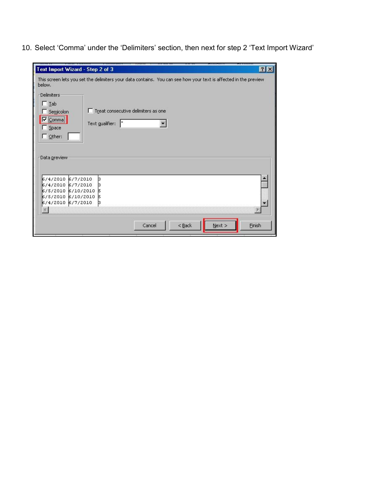10. Select 'Comma' under the 'Delimiters' section, then next for step 2 'Text Import Wizard'

| Text Import Wizard - Step 2 of 3                                                                                           |                                                                |        |          |        | 7 <sup>2</sup> |
|----------------------------------------------------------------------------------------------------------------------------|----------------------------------------------------------------|--------|----------|--------|----------------|
| This screen lets you set the delimiters your data contains. You can see how your text is affected in the preview<br>below. |                                                                |        |          |        |                |
| <b>Delimiters</b><br>$\Box$ Iab<br>Semicolon<br>$\nabla$ Comma<br>Space                                                    | □ Treat consecutive delimiters as one<br>ŀ.<br>Text gualifier: |        |          |        |                |
| $\Gamma$ Other:<br>Data preview-                                                                                           |                                                                |        |          |        |                |
| 6/4/2010 6/7/2010<br>6/4/2010 6/7/2010<br>k/5/2010 k/10/2010 k                                                             | þ<br>b                                                         |        |          |        |                |
| 6/5/2010 6/10/2010<br>6/4/2010 6/7/2010                                                                                    | 15<br>þ                                                        |        |          |        |                |
|                                                                                                                            |                                                                | Cancel | $<$ Back | Next > | <b>Finish</b>  |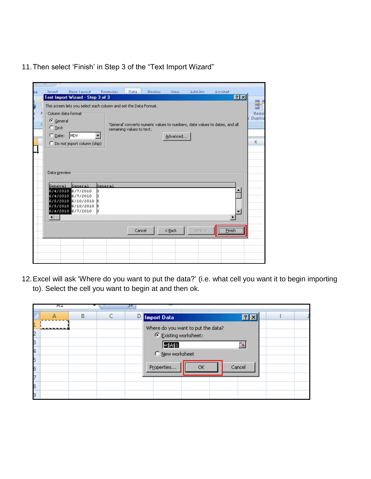11. Then select 'Finish' in Step 3 of the "Text Import Wizard"

12.Excel will ask "Where do you want to put the data?" (i.e. what cell you want it to begin importing to). Select the cell you want to begin at and then ok.

|   | A1 |   |   | JΧ |                                    |        |  |
|---|----|---|---|----|------------------------------------|--------|--|
|   |    | B | c |    | D Import Data                      | 7x     |  |
|   |    |   |   |    | Where do you want to put the data? |        |  |
|   |    |   |   |    | Existing worksheet:                |        |  |
|   |    |   |   |    | $=4451$                            | 專      |  |
| 4 |    |   |   |    | C New worksheet                    |        |  |
|   |    |   |   |    |                                    |        |  |
|   |    |   |   |    | Properties<br>OK                   | Cancel |  |
|   |    |   |   |    |                                    |        |  |
|   |    |   |   |    |                                    |        |  |
|   |    |   |   |    |                                    |        |  |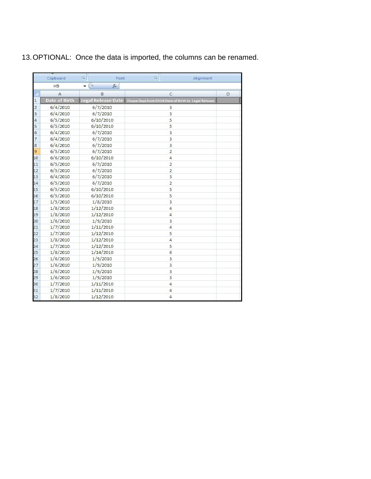13.OPTIONAL: Once the data is imported, the columns can be renamed.

|         | Clipboard            | 履<br>Font                | 厦 | Alignment                                             |   |
|---------|----------------------|--------------------------|---|-------------------------------------------------------|---|
|         | H <sub>9</sub>       | <b>COL</b><br>$f_x$<br>٠ |   |                                                       |   |
|         | А                    | B                        |   | C                                                     | D |
| 1       | <b>Date of Birth</b> | Legal Release Date       |   | Elaspe Days from Child Date of Birth to Legal Release |   |
| 2       | 6/4/2010             | 6/7/2010                 |   | 3                                                     |   |
| 3       | 6/4/2010             | 6/7/2010                 |   | 3                                                     |   |
| 4       | 6/5/2010             | 6/10/2010                |   | 5                                                     |   |
| 5       | 6/5/2010             | 6/10/2010                |   | 5                                                     |   |
| б       | 6/4/2010             | 6/7/2010                 |   | 3                                                     |   |
| 7       | 6/4/2010             | 6/7/2010                 |   | 3                                                     |   |
| 8       | 6/4/2010             | 6/7/2010                 |   | 3                                                     |   |
| 9       | 6/5/2010             | 6/7/2010                 |   | $\overline{2}$                                        |   |
| 10      | 6/6/2010             | 6/10/2010                |   | 4                                                     |   |
| 11      | 6/5/2010             | 6/7/2010                 |   | $\overline{2}$                                        |   |
| 12      | 6/5/2010             | 6/7/2010                 |   | 2                                                     |   |
| 13      | 6/4/2010             | 6/7/2010                 |   | 3                                                     |   |
| 14      | 6/5/2010             | 6/7/2010                 |   | 2                                                     |   |
| 15      | 6/5/2010             | 6/10/2010                |   | 5                                                     |   |
| 16      | 6/5/2010             | 6/10/2010                |   | 5                                                     |   |
| 17      | 1/5/2010             | 1/8/2010                 |   | 3                                                     |   |
| 18      | 1/8/2010             | 1/12/2010                |   | 4                                                     |   |
| 19      | 1/8/2010             | 1/12/2010                |   | 4                                                     |   |
| 20      | 1/6/2010             | 1/9/2010                 |   | 3                                                     |   |
| 21      | 1/7/2010             | 1/11/2010                |   | 4                                                     |   |
| 22      | 1/7/2010             | 1/12/2010                |   | 5                                                     |   |
| 23      | 1/8/2010             | 1/12/2010                |   | 4                                                     |   |
| $^{24}$ | 1/7/2010             | 1/12/2010                |   | 5                                                     |   |
| 25      | 1/8/2010             | 1/14/2010                |   | 6                                                     |   |
| 26      | 1/6/2010             | 1/9/2010                 |   | 3                                                     |   |
| 27      | 1/6/2010             | 1/9/2010                 |   | 3                                                     |   |
| 28      | 1/6/2010             | 1/9/2010                 |   | 3                                                     |   |
| 29      | 1/6/2010             | 1/9/2010                 |   | 3                                                     |   |
| 30      | 1/7/2010             | 1/11/2010                |   | 4                                                     |   |
| 31      | 1/7/2010             | 1/11/2010                |   | 4                                                     |   |
| 32      | 1/8/2010             | 1/12/2010                |   | 4                                                     |   |